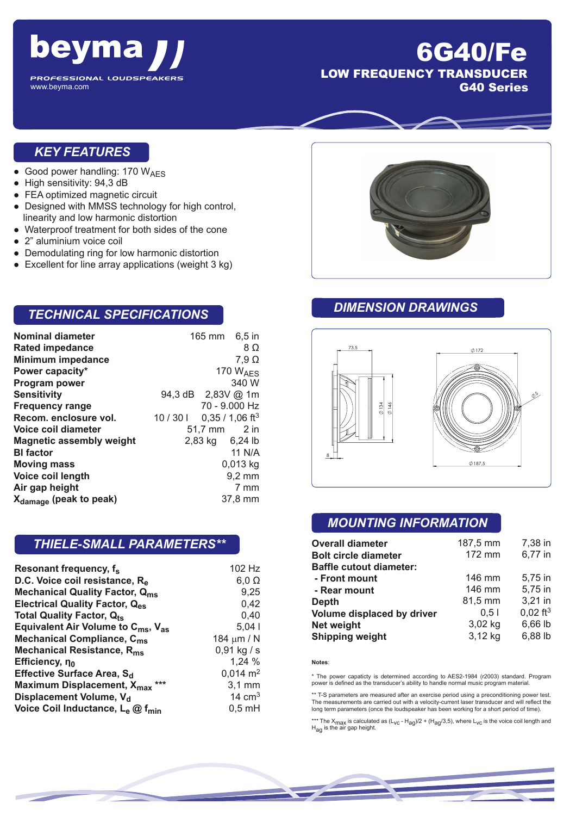

## 6G40/Fe LOW FREQUENCY TRANSDUCER G40 Series

#### *KEY FEATURES*

- Good power handling: 170  $W_{AES}$
- High sensitivity: 94,3 dB
- FEA optimized magnetic circuit
- Designed with MMSS technology for high control, linearity and low harmonic distortion
- Waterproof treatment for both sides of the cone
- 2" aluminium voice coil
- Demodulating ring for low harmonic distortion
- Excellent for line array applications (weight 3 kg)

### *TECHNICAL SPECIFICATIONS*

| <b>Nominal diameter</b>            | 165 mm 6,5 in      |                             |
|------------------------------------|--------------------|-----------------------------|
| <b>Rated impedance</b>             |                    | 8Ω                          |
| <b>Minimum impedance</b>           |                    | $7,9 \Omega$                |
| Power capacity*                    |                    | 170 $W_{\text{AFS}}$        |
| Program power                      |                    | 340 W                       |
| <b>Sensitivity</b>                 | 94,3 dB 2,83V @ 1m |                             |
| <b>Frequency range</b>             |                    | 70 - 9.000 Hz               |
| Recom. enclosure vol.              | 10/301             | $0,35/1,06$ ft <sup>3</sup> |
| Voice coil diameter                | 51,7 mm 2 in       |                             |
| <b>Magnetic assembly weight</b>    | 2,83 kg 6,24 lb    |                             |
| <b>BI</b> factor                   |                    | 11 N/A                      |
| <b>Moving mass</b>                 |                    | $0,013$ kg                  |
| Voice coil length                  |                    | $9,2 \text{ mm}$            |
| Air gap height                     |                    | 7 mm                        |
| X <sub>damage</sub> (peak to peak) |                    | 37,8 mm                     |

#### *THIELE-SMALL PARAMETERS\*\**

| Resonant frequency, f <sub>s</sub>                         | 102 Hz              |
|------------------------------------------------------------|---------------------|
| D.C. Voice coil resistance, R <sub>e</sub>                 | $6,0 \Omega$        |
| <b>Mechanical Quality Factor, Qms</b>                      | 9,25                |
| <b>Electrical Quality Factor, Q<sub>es</sub></b>           | 0,42                |
| <b>Total Quality Factor, Qts</b>                           | 0,40                |
| Equivalent Air Volume to $C_{\text{ms}}$ , $V_{\text{as}}$ | 5,041               |
| Mechanical Compliance, C <sub>ms</sub>                     | 184 $\mu$ m / N     |
| Mechanical Resistance, R <sub>ms</sub>                     | $0,91$ kg / s       |
| Efficiency, no                                             | 1,24 %              |
| Effective Surface Area, S <sub>d</sub>                     | $0,014 \text{ m}^2$ |
| Maximum Displacement, X <sub>max</sub> ***                 | $3,1$ mm            |
| Displacement Volume, V <sub>d</sub>                        | 14 $cm3$            |
| Voice Coil Inductance, Le @ f <sub>min</sub>               | $0,5$ mH            |



#### *DIMENSION DRAWINGS*



#### *MOUNTING INFORMATION*

| <b>Overall diameter</b>        | 187,5 mm | 7,38 in                |
|--------------------------------|----------|------------------------|
| <b>Bolt circle diameter</b>    | 172 mm   | 6,77 in                |
| <b>Baffle cutout diameter:</b> |          |                        |
| - Front mount                  | 146 mm   | 5,75 in                |
| - Rear mount                   | 146 mm   | 5,75 in                |
| <b>Depth</b>                   | 81,5 mm  | 3,21 in                |
| Volume displaced by driver     | 0.51     | $0,02$ ft <sup>3</sup> |
| <b>Net weight</b>              | 3,02 kg  | 6,66 lb                |
| <b>Shipping weight</b>         | 3,12 kg  | 6,88 lb                |

#### **Notes**:

\* The power capaticty is determined according to AES2-1984 (r2003) standard. Program power is defined as the transducer's ability to handle normal music program material.

\*\* T-S parameters are measured after an exercise period using a preconditioning power test. The measurements are carried out with a velocity-current laser transducer and will reflect the long term parameters (once the loudspeaker has been working for a short period of time).

\*\*\* The X<sub>max</sub> is calculated as (L<sub>VC</sub> - H<sub>ag</sub>)/2 + (H<sub>ag</sub>/3,5), where L<sub>VC</sub> is the voice coil length and<br>H<sub>ag</sub> is the air gap height.